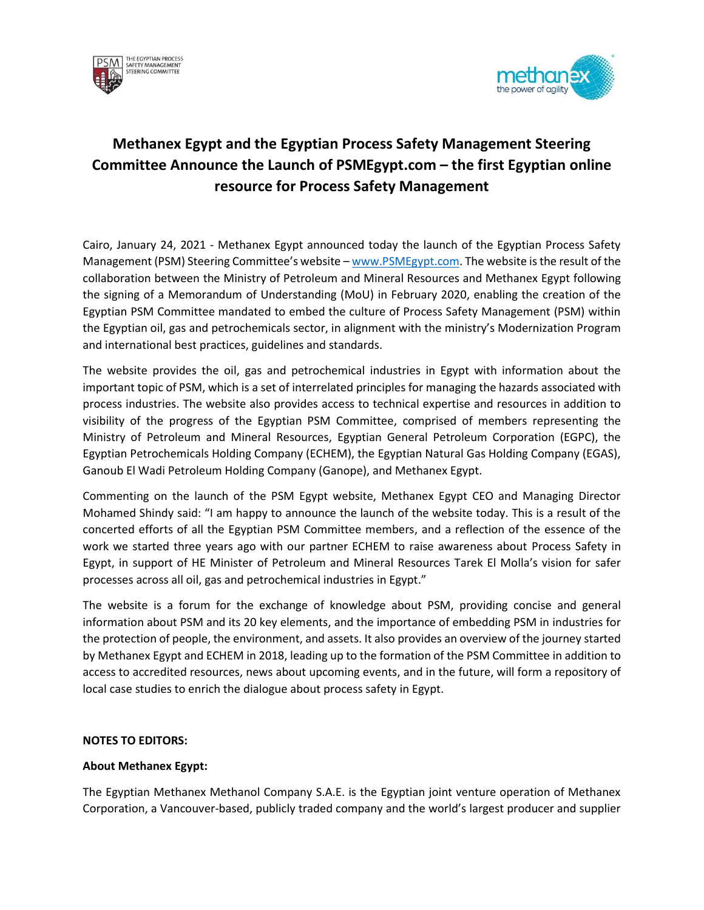



## **Methanex Egypt and the Egyptian Process Safety Management Steering Committee Announce the Launch of PSMEgypt.com – the first Egyptian online resource for Process Safety Management**

Cairo, January 24, 2021 - Methanex Egypt announced today the launch of the Egyptian Process Safety Management (PSM) Steering Committee's website – [www.PSMEgypt.com.](http://www.psmegypt.com/) The website is the result of the collaboration between the Ministry of Petroleum and Mineral Resources and Methanex Egypt following the signing of a Memorandum of Understanding (MoU) in February 2020, enabling the creation of the Egyptian PSM Committee mandated to embed the culture of Process Safety Management (PSM) within the Egyptian oil, gas and petrochemicals sector, in alignment with the ministry's Modernization Program and international best practices, guidelines and standards.

The website provides the oil, gas and petrochemical industries in Egypt with information about the important topic of PSM, which is a set of interrelated principles for managing the hazards associated with process industries. The website also provides access to technical expertise and resources in addition to visibility of the progress of the Egyptian PSM Committee, comprised of members representing the Ministry of Petroleum and Mineral Resources, Egyptian General Petroleum Corporation (EGPC), the Egyptian Petrochemicals Holding Company (ECHEM), the Egyptian Natural Gas Holding Company (EGAS), Ganoub El Wadi Petroleum Holding Company (Ganope), and Methanex Egypt.

Commenting on the launch of the PSM Egypt website, Methanex Egypt CEO and Managing Director Mohamed Shindy said: "I am happy to announce the launch of the website today. This is a result of the concerted efforts of all the Egyptian PSM Committee members, and a reflection of the essence of the work we started three years ago with our partner ECHEM to raise awareness about Process Safety in Egypt, in support of HE Minister of Petroleum and Mineral Resources Tarek El Molla's vision for safer processes across all oil, gas and petrochemical industries in Egypt."

The website is a forum for the exchange of knowledge about PSM, providing concise and general information about PSM and its 20 key elements, and the importance of embedding PSM in industries for the protection of people, the environment, and assets. It also provides an overview of the journey started by Methanex Egypt and ECHEM in 2018, leading up to the formation of the PSM Committee in addition to access to accredited resources, news about upcoming events, and in the future, will form a repository of local case studies to enrich the dialogue about process safety in Egypt.

## **NOTES TO EDITORS:**

## **About Methanex Egypt:**

The Egyptian Methanex Methanol Company S.A.E. is the Egyptian joint venture operation of Methanex Corporation, a Vancouver-based, publicly traded company and the world's largest producer and supplier